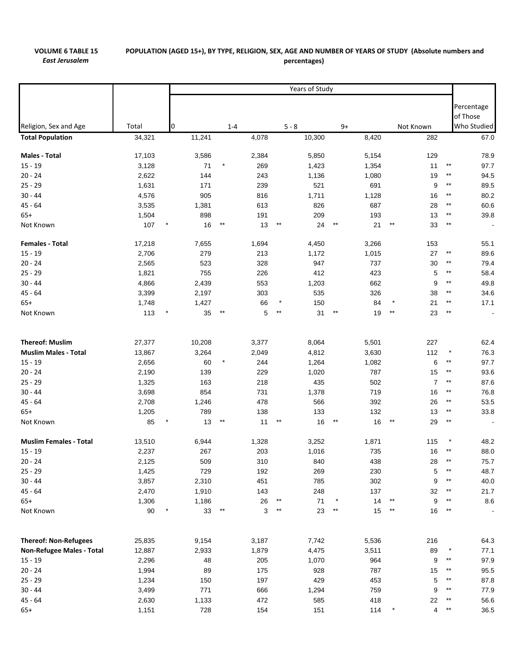## **VOLUME 6 TABLE 15** *East Jerusalem*

## POPULATION (AGED 15+), BY TYPE, RELIGION, SEX, AGE AND NUMBER OF YEARS OF STUDY (Absolute numbers and **percentages)**

|                               |        | Years of Study |        |                 |       |         |          |                 |       |             |                |                                   |
|-------------------------------|--------|----------------|--------|-----------------|-------|---------|----------|-----------------|-------|-------------|----------------|-----------------------------------|
|                               |        |                |        |                 |       |         |          |                 |       |             |                |                                   |
|                               |        |                |        |                 |       |         |          |                 |       |             |                | Percentage                        |
|                               |        |                |        |                 |       |         |          |                 |       |             |                | of Those                          |
| Religion, Sex and Age         | Total  | 0              |        | $1 - 4$         |       | $5 - 8$ |          | $9+$            |       | Not Known   |                | Who Studied                       |
| <b>Total Population</b>       | 34,321 |                | 11,241 |                 | 4,078 |         | 10,300   |                 | 8,420 | 282         |                | 67.0                              |
| Males - Total                 | 17,103 |                | 3,586  |                 | 2,384 |         | 5,850    |                 | 5,154 | 129         |                | 78.9                              |
| $15 - 19$                     | 3,128  |                | 71     |                 | 269   |         | 1,423    |                 | 1,354 | 11          |                | $***$<br>97.7                     |
| $20 - 24$                     | 2,622  |                | 144    |                 | 243   |         | 1,136    |                 | 1,080 | 19          |                | 94.5<br>$***$                     |
| $25 - 29$                     | 1,631  |                | 171    |                 | 239   |         | 521      |                 | 691   |             | 9              | $***$<br>89.5                     |
| $30 - 44$                     | 4,576  |                | 905    |                 | 816   |         | 1,711    |                 | 1,128 |             | 16             | 80.2<br>$***$                     |
| $45 - 64$                     | 3,535  |                | 1,381  |                 | 613   |         | 826      |                 | 687   | 28          |                | $***$<br>60.6                     |
| $65+$                         | 1,504  |                | 898    |                 | 191   |         | 209      |                 | 193   | 13          |                | $***$<br>39.8                     |
| Not Known                     | 107    |                | 16     |                 | 13    | $***$   | 24       | $***$           | 21    | $***$       | 33             | $***$<br>$\overline{\phantom{a}}$ |
| <b>Females - Total</b>        | 17,218 |                | 7,655  |                 | 1,694 |         | 4,450    |                 | 3,266 | 153         |                | 55.1                              |
| $15 - 19$                     | 2,706  |                | 279    |                 | 213   |         | 1,172    |                 | 1,015 | 27          |                | $***$<br>89.6                     |
| $20 - 24$                     | 2,565  |                | 523    |                 | 328   |         | 947      |                 | 737   | 30          |                | $***$<br>79.4                     |
| $25 - 29$                     | 1,821  |                | 755    |                 | 226   |         | 412      |                 | 423   |             | 5              | $***$<br>58.4                     |
| $30 - 44$                     | 4,866  |                | 2,439  |                 | 553   |         | 1,203    |                 | 662   |             | 9              | $***$<br>49.8                     |
| $45 - 64$                     | 3,399  |                | 2,197  |                 | 303   |         | 535      |                 | 326   | 38          |                | 34.6<br>$***$                     |
| $65+$                         | 1,748  |                | 1,427  |                 | 66    |         | 150      |                 | 84    | 21          |                | $***$<br>17.1                     |
| Not Known                     | 113    |                | 35     |                 | 5     | $***$   | 31       | $***$           | 19    | $***$<br>23 |                | $^{\star\star}$<br>$\blacksquare$ |
| <b>Thereof: Muslim</b>        | 27,377 |                | 10,208 |                 | 3,377 |         | 8,064    |                 | 5,501 | 227         |                | 62.4                              |
| <b>Muslim Males - Total</b>   | 13,867 |                | 3,264  |                 | 2,049 |         | 4,812    |                 | 3,630 | 112         |                | $\star$<br>76.3                   |
| $15 - 19$                     | 2,656  |                | 60     |                 | 244   |         | 1,264    |                 | 1,082 |             | 6              | $***$<br>97.7                     |
| $20 - 24$                     | 2,190  |                | 139    |                 | 229   |         | 1,020    |                 | 787   |             | 15             | $***$<br>93.6                     |
| $25 - 29$                     | 1,325  |                | 163    |                 | 218   |         | 435      |                 | 502   |             | $\overline{7}$ | $^{\star\star}$<br>87.6           |
| $30 - 44$                     | 3,698  |                | 854    |                 | 731   |         | 1,378    |                 | 719   |             | 16             | $***$<br>76.8                     |
| 45 - 64                       | 2,708  |                | 1,246  |                 | 478   |         | 566      |                 | 392   |             | 26             | $***$<br>53.5                     |
| $65+$                         | 1,205  |                | 789    |                 | 138   |         | 133      |                 | 132   | 13          |                | $***$<br>33.8                     |
| Not Known                     | 85     | *              | 13     | $^{\star\star}$ | 11    | $***$   | 16       | $^{\star\star}$ | 16    | $***$       | 29             | $^{\star\star}$                   |
| <b>Muslim Females - Total</b> | 13,510 |                | 6,944  |                 | 1,328 |         | 3,252    |                 | 1,871 | 115         |                | $\star$<br>48.2                   |
| $15 - 19$                     | 2,237  |                | 267    |                 | 203   |         | 1,016    |                 | 735   | 16          |                | $***$<br>88.0                     |
| $20 - 24$                     | 2,125  |                | 509    |                 | 310   |         | 840      |                 | 438   | 28          |                | 75.7                              |
| $25 - 29$                     | 1,425  |                | 729    |                 | 192   |         | 269      |                 | 230   |             | 5              | $^{\star\star}$<br>48.7           |
| $30 - 44$                     | 3,857  |                | 2,310  |                 | 451   |         | 785      |                 | 302   |             | 9              | $^{\star\star}$<br>40.0           |
| $45 - 64$                     | 2,470  |                | 1,910  |                 | 143   |         | 248      |                 | 137   | 32          |                | $***$<br>21.7                     |
| $65+$                         | 1,306  |                | 1,186  |                 | 26    | $***$   | $\bf 71$ |                 | 14    | $***$       | 9              | $^{\star\star}$<br>$8.6\,$        |
| Not Known                     | $90\,$ |                | 33     | $***$           | 3     | $***$   | 23       | $^{\star\star}$ | 15    | $***$<br>16 |                | $***$<br>$\blacksquare$           |
| <b>Thereof: Non-Refugees</b>  | 25,835 |                | 9,154  |                 | 3,187 |         | 7,742    |                 | 5,536 | 216         |                | 64.3                              |
| Non-Refugee Males - Total     | 12,887 |                | 2,933  |                 | 1,879 |         | 4,475    |                 | 3,511 | 89          |                | 77.1                              |
| $15 - 19$                     | 2,296  |                | 48     |                 | 205   |         | 1,070    |                 | 964   |             | 9              | $\star\star$<br>97.9              |
| $20 - 24$                     | 1,994  |                | 89     |                 | 175   |         | 928      |                 | 787   | 15          |                | 95.5<br>$***$                     |
| $25 - 29$                     | 1,234  |                | 150    |                 | 197   |         | 429      |                 | 453   |             | 5              | 87.8<br>$***$                     |
| $30 - 44$                     | 3,499  |                | 771    |                 | 666   |         | 1,294    |                 | 759   |             | 9              | 77.9<br>$***$                     |
| $45 - 64$                     | 2,630  |                | 1,133  |                 | 472   |         | 585      |                 | 418   | 22          |                | 56.6<br>$***$                     |
| $65+$                         | 1,151  |                | 728    |                 | 154   |         | 151      |                 | 114   |             | 4              | $***$<br>36.5                     |